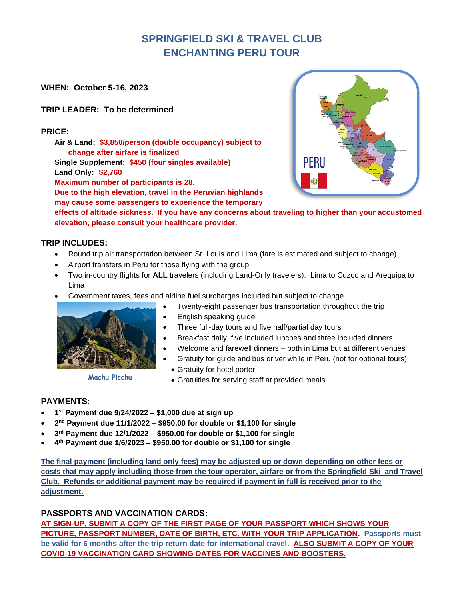# **SPRINGFIELD SKI & TRAVEL CLUB ENCHANTING PERU TOUR**

**WHEN: October 5-16, 2023**

### **TRIP LEADER: To be determined**

#### **PRICE:**

**Air & Land: \$3,850/person (double occupancy) subject to change after airfare is finalized Single Supplement: \$450 (four singles available) Land Only: \$2,760 Maximum number of participants is 28.**

**Due to the high elevation, travel in the Peruvian highlands may cause some passengers to experience the temporary** 



**effects of altitude sickness. If you have any concerns about traveling to higher than your accustomed elevation, please consult your healthcare provider.**

#### **TRIP INCLUDES:**

- Round trip air transportation between St. Louis and Lima (fare is estimated and subject to change)
- Airport transfers in Peru for those flying with the group
- Two in-country flights for **ALL** travelers (including Land-Only travelers): Lima to Cuzco and Arequipa to Lima
- Government taxes, fees and airline fuel surcharges included but subject to change



**Machu Picchu**

- Twenty-eight passenger bus transportation throughout the trip
- English speaking guide
- Three full-day tours and five half/partial day tours
- Breakfast daily, five included lunches and three included dinners
- Welcome and farewell dinners both in Lima but at different venues
- Gratuity for guide and bus driver while in Peru (not for optional tours)
	- Gratuity for hotel porter
	- Gratuities for serving staff at provided meals

#### **PAYMENTS:**

- **1 st Payment due 9/24/2022 – \$1,000 due at sign up**
- **2 nd Payment due 11/1/2022 – \$950.00 for double or \$1,100 for single**
- **3 rd Payment due 12/1/2022 – \$950.00 for double or \$1,100 for single**
- **4 th Payment due 1/6/2023 – \$950.00 for double or \$1,100 for single**

**The final payment (including land only fees) may be adjusted up or down depending on other fees or costs that may apply including those from the tour operator, airfare or from the Springfield Ski and Travel Club. Refunds or additional payment may be required if payment in full is received prior to the adjustment.**

## **PASSPORTS AND VACCINATION CARDS:**

**AT SIGN-UP, SUBMIT A COPY OF THE FIRST PAGE OF YOUR PASSPORT WHICH SHOWS YOUR PICTURE, PASSPORT NUMBER, DATE OF BIRTH, ETC. WITH YOUR TRIP APPLICATION. Passports must be valid for 6 months after the trip return date for international travel. ALSO SUBMIT A COPY OF YOUR COVID-19 VACCINATION CARD SHOWING DATES FOR VACCINES AND BOOSTERS.**